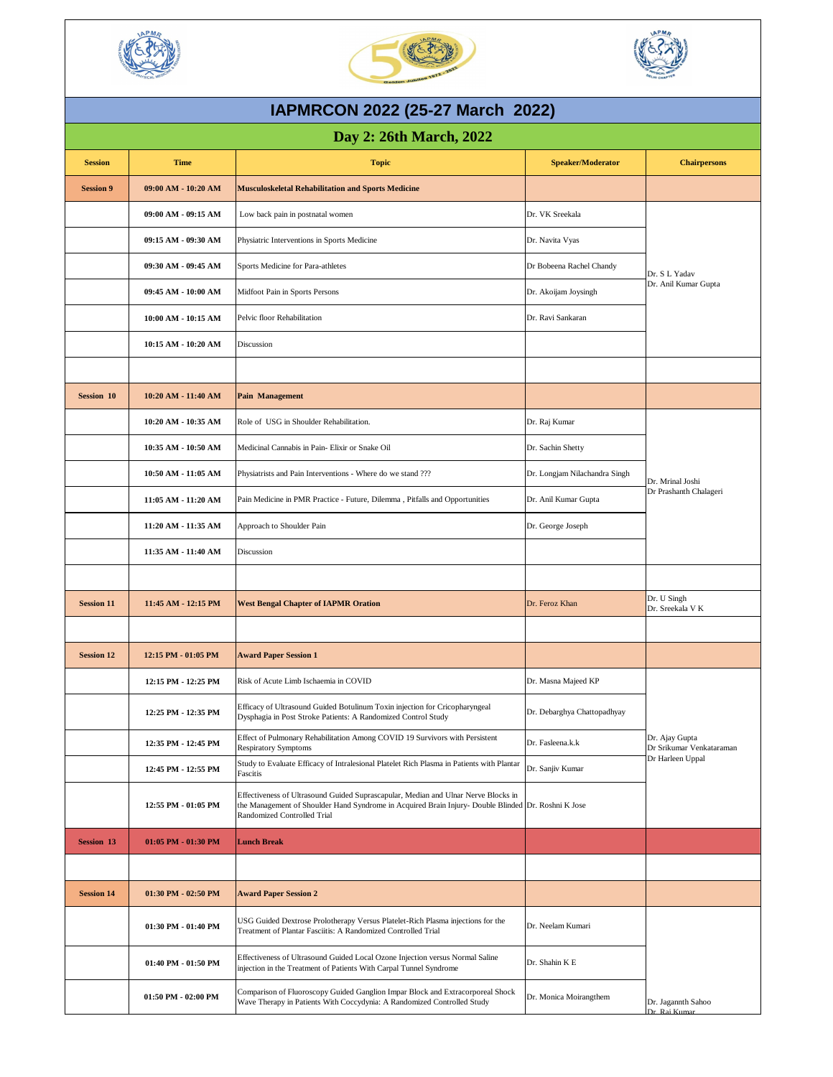| <b>Session</b>    | <b>Time</b>             | <b>Topic</b>                                                                                                                                                                                                             | <b>Speaker/Moderator</b>      | <b>Chairpersons</b>                                            |
|-------------------|-------------------------|--------------------------------------------------------------------------------------------------------------------------------------------------------------------------------------------------------------------------|-------------------------------|----------------------------------------------------------------|
| <b>Session 9</b>  | 09:00 AM - 10:20 AM     | Musculoskeletal Rehabilitation and Sports Medicine                                                                                                                                                                       |                               |                                                                |
|                   | 09:00 AM - 09:15 AM     | Low back pain in postnatal women                                                                                                                                                                                         | Dr. VK Sreekala               | Dr. S L Yadav<br>Dr. Anil Kumar Gupta                          |
|                   | 09:15 AM - 09:30 AM     | Physiatric Interventions in Sports Medicine                                                                                                                                                                              | Dr. Navita Vyas               |                                                                |
|                   | 09:30 AM - 09:45 AM     | Sports Medicine for Para-athletes                                                                                                                                                                                        | Dr Bobeena Rachel Chandy      |                                                                |
|                   | 09:45 AM - 10:00 AM     | Midfoot Pain in Sports Persons                                                                                                                                                                                           | Dr. Akoijam Joysingh          |                                                                |
|                   | 10:00 AM - 10:15 AM     | Pelvic floor Rehabilitation                                                                                                                                                                                              | Dr. Ravi Sankaran             |                                                                |
|                   | 10:15 AM - 10:20 AM     | Discussion                                                                                                                                                                                                               |                               |                                                                |
|                   |                         |                                                                                                                                                                                                                          |                               |                                                                |
| <b>Session 10</b> | 10:20 AM - 11:40 AM     | <b>Pain Management</b>                                                                                                                                                                                                   |                               |                                                                |
|                   | 10:20 AM - 10:35 AM     | Role of USG in Shoulder Rehabilitation.                                                                                                                                                                                  | Dr. Raj Kumar                 |                                                                |
|                   | 10:35 AM - 10:50 AM     | Medicinal Cannabis in Pain-Elixir or Snake Oil                                                                                                                                                                           | Dr. Sachin Shetty             |                                                                |
|                   | 10:50 AM - 11:05 AM     | Physiatrists and Pain Interventions - Where do we stand ???                                                                                                                                                              | Dr. Longjam Nilachandra Singh | Dr. Mrinal Joshi                                               |
|                   | 11:05 AM - 11:20 AM     | Pain Medicine in PMR Practice - Future, Dilemma, Pitfalls and Opportunities                                                                                                                                              | Dr. Anil Kumar Gupta          | Dr Prashanth Chalageri                                         |
|                   | 11:20 AM - 11:35 AM     | Approach to Shoulder Pain                                                                                                                                                                                                | Dr. George Joseph             |                                                                |
|                   | 11:35 AM - 11:40 AM     | Discussion                                                                                                                                                                                                               |                               |                                                                |
|                   |                         |                                                                                                                                                                                                                          |                               |                                                                |
| <b>Session 11</b> | 11:45 AM - 12:15 PM     | <b>West Bengal Chapter of IAPMR Oration</b>                                                                                                                                                                              | Dr. Feroz Khan                | Dr. U Singh<br>Dr. Sreekala V K                                |
|                   |                         |                                                                                                                                                                                                                          |                               |                                                                |
| <b>Session 12</b> | 12:15 PM - 01:05 PM     | <b>Award Paper Session 1</b>                                                                                                                                                                                             |                               |                                                                |
|                   | 12:15 PM - 12:25 PM     | Risk of Acute Limb Ischaemia in COVID                                                                                                                                                                                    | Dr. Masna Majeed KP           |                                                                |
|                   | 12:25 PM - 12:35 PM     | Efficacy of Ultrasound Guided Botulinum Toxin injection for Cricopharyngeal<br>Dysphagia in Post Stroke Patients: A Randomized Control Study                                                                             | Dr. Debarghya Chattopadhyay   | Dr. Ajay Gupta<br>Dr Srikumar Venkataraman<br>Dr Harleen Uppal |
|                   | 12:35 PM - 12:45 PM     | Effect of Pulmonary Rehabilitation Among COVID 19 Survivors with Persistent<br><b>Respiratory Symptoms</b>                                                                                                               | Dr. Fasleena.k.k              |                                                                |
|                   | 12:45 PM - 12:55 PM     | Study to Evaluate Efficacy of Intralesional Platelet Rich Plasma in Patients with Plantar<br>Fascitis                                                                                                                    | Dr. Sanjiv Kumar              |                                                                |
|                   | 12:55 PM - 01:05 PM     | Effectiveness of Ultrasound Guided Suprascapular, Median and Ulnar Nerve Blocks in<br>the Management of Shoulder Hand Syndrome in Acquired Brain Injury- Double Blinded Dr. Roshni K Jose<br>Randomized Controlled Trial |                               |                                                                |
| <b>Session 13</b> | 01:05 PM - 01:30 PM     | <b>Lunch Break</b>                                                                                                                                                                                                       |                               |                                                                |
|                   |                         |                                                                                                                                                                                                                          |                               |                                                                |
| <b>Session 14</b> | $01:30$ PM $-02:50$ PM  | <b>Award Paper Session 2</b>                                                                                                                                                                                             |                               |                                                                |
|                   | 01:30 PM - 01:40 PM     | USG Guided Dextrose Prolotherapy Versus Platelet-Rich Plasma injections for the<br>Treatment of Plantar Fasciitis: A Randomized Controlled Trial                                                                         | Dr. Neelam Kumari             |                                                                |
|                   | 01:40 PM - 01:50 PM     | Effectiveness of Ultrasound Guided Local Ozone Injection versus Normal Saline<br>injection in the Treatment of Patients With Carpal Tunnel Syndrome                                                                      | Dr. Shahin K E                |                                                                |
|                   | $01:50$ PM - $02:00$ PM | Comparison of Fluoroscopy Guided Ganglion Impar Block and Extracorporeal Shock<br>Wave Therapy in Patients With Coccydynia: A Randomized Controlled Study                                                                | Dr. Monica Moirangthem        | Dr. Jagannth Sahoo<br>Dr. Rai Kumar                            |

## **Day 2: 26th March, 2022**







## **IAPMRCON 2022 (25-27 March 2022)**